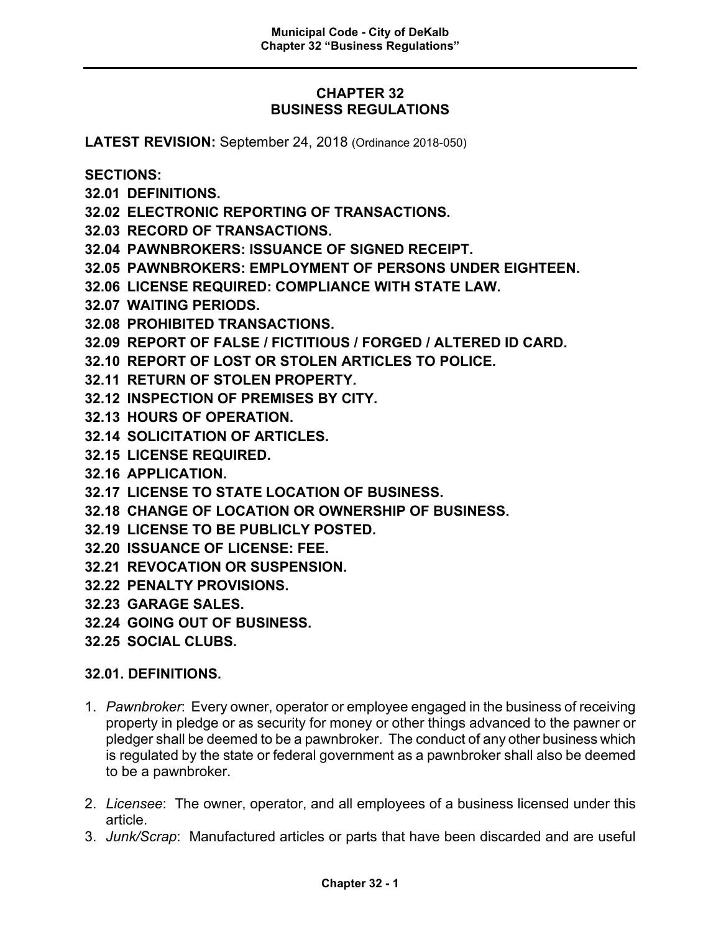## **CHAPTER 32 BUSINESS REGULATIONS**

**LATEST REVISION:** September 24, 2018 (Ordinance 2018-050)

**SECTIONS:**

- **32.01 DEFINITIONS.**
- **32.02 ELECTRONIC REPORTING OF TRANSACTIONS.**
- **32.03 RECORD OF TRANSACTIONS.**
- **32.04 PAWNBROKERS: ISSUANCE OF SIGNED RECEIPT.**
- **32.05 PAWNBROKERS: EMPLOYMENT OF PERSONS UNDER EIGHTEEN.**
- **32.06 LICENSE REQUIRED: COMPLIANCE WITH STATE LAW.**
- **32.07 WAITING PERIODS.**
- **32.08 PROHIBITED TRANSACTIONS.**
- **32.09 REPORT OF FALSE / FICTITIOUS / FORGED / ALTERED ID CARD.**
- **32.10 REPORT OF LOST OR STOLEN ARTICLES TO POLICE.**
- **32.11 RETURN OF STOLEN PROPERTY.**
- **32.12 INSPECTION OF PREMISES BY CITY.**
- **32.13 HOURS OF OPERATION.**
- **32.14 SOLICITATION OF ARTICLES.**
- **32.15 LICENSE REQUIRED.**
- **32.16 APPLICATION.**
- **32.17 LICENSE TO STATE LOCATION OF BUSINESS.**
- **32.18 CHANGE OF LOCATION OR OWNERSHIP OF BUSINESS.**
- **32.19 LICENSE TO BE PUBLICLY POSTED.**
- **32.20 ISSUANCE OF LICENSE: FEE.**
- **32.21 REVOCATION OR SUSPENSION.**
- **32.22 PENALTY PROVISIONS.**
- **32.23 GARAGE SALES.**
- **32.24 GOING OUT OF BUSINESS.**
- **32.25 SOCIAL CLUBS.**

### **32.01. DEFINITIONS.**

- 1. *Pawnbroker*: Every owner, operator or employee engaged in the business of receiving property in pledge or as security for money or other things advanced to the pawner or pledger shall be deemed to be a pawnbroker. The conduct of any other business which is regulated by the state or federal government as a pawnbroker shall also be deemed to be a pawnbroker.
- 2. *Licensee*: The owner, operator, and all employees of a business licensed under this article.
- 3. *Junk/Scrap*: Manufactured articles or parts that have been discarded and are useful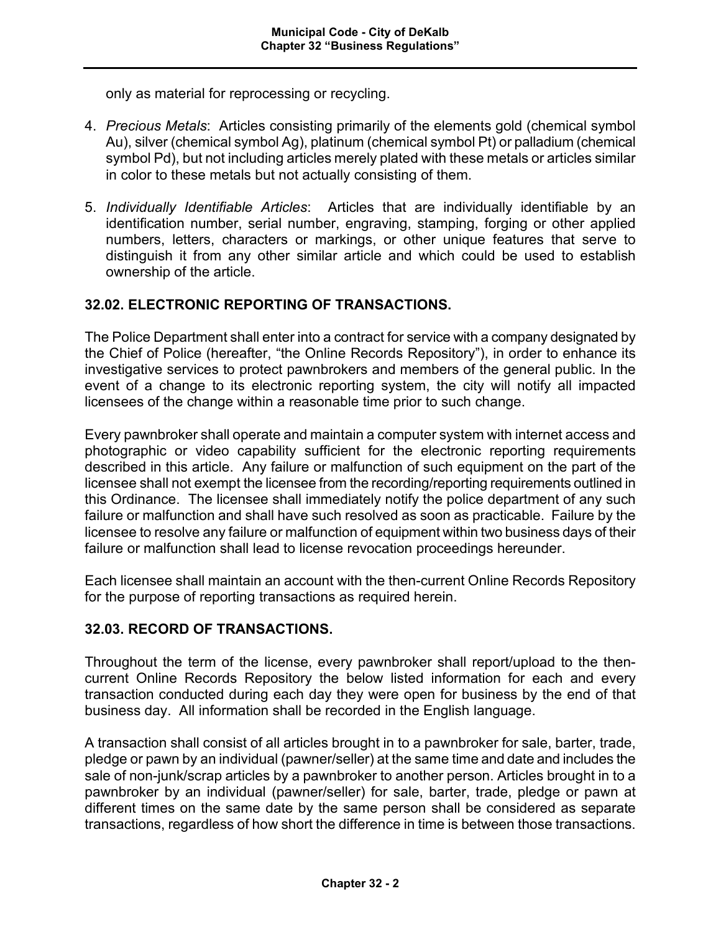only as material for reprocessing or recycling.

- 4. *Precious Metals*: Articles consisting primarily of the elements gold (chemical symbol Au), silver (chemical symbol Ag), platinum (chemical symbol Pt) or palladium (chemical symbol Pd), but not including articles merely plated with these metals or articles similar in color to these metals but not actually consisting of them.
- 5. *Individually Identifiable Articles*: Articles that are individually identifiable by an identification number, serial number, engraving, stamping, forging or other applied numbers, letters, characters or markings, or other unique features that serve to distinguish it from any other similar article and which could be used to establish ownership of the article.

### **32.02. ELECTRONIC REPORTING OF TRANSACTIONS.**

The Police Department shall enter into a contract for service with a company designated by the Chief of Police (hereafter, "the Online Records Repository"), in order to enhance its investigative services to protect pawnbrokers and members of the general public. In the event of a change to its electronic reporting system, the city will notify all impacted licensees of the change within a reasonable time prior to such change.

Every pawnbroker shall operate and maintain a computer system with internet access and photographic or video capability sufficient for the electronic reporting requirements described in this article. Any failure or malfunction of such equipment on the part of the licensee shall not exempt the licensee from the recording/reporting requirements outlined in this Ordinance. The licensee shall immediately notify the police department of any such failure or malfunction and shall have such resolved as soon as practicable. Failure by the licensee to resolve any failure or malfunction of equipment within two business days of their failure or malfunction shall lead to license revocation proceedings hereunder.

Each licensee shall maintain an account with the then-current Online Records Repository for the purpose of reporting transactions as required herein.

### **32.03. RECORD OF TRANSACTIONS.**

Throughout the term of the license, every pawnbroker shall report/upload to the thencurrent Online Records Repository the below listed information for each and every transaction conducted during each day they were open for business by the end of that business day. All information shall be recorded in the English language.

A transaction shall consist of all articles brought in to a pawnbroker for sale, barter, trade, pledge or pawn by an individual (pawner/seller) at the same time and date and includes the sale of non-junk/scrap articles by a pawnbroker to another person. Articles brought in to a pawnbroker by an individual (pawner/seller) for sale, barter, trade, pledge or pawn at different times on the same date by the same person shall be considered as separate transactions, regardless of how short the difference in time is between those transactions.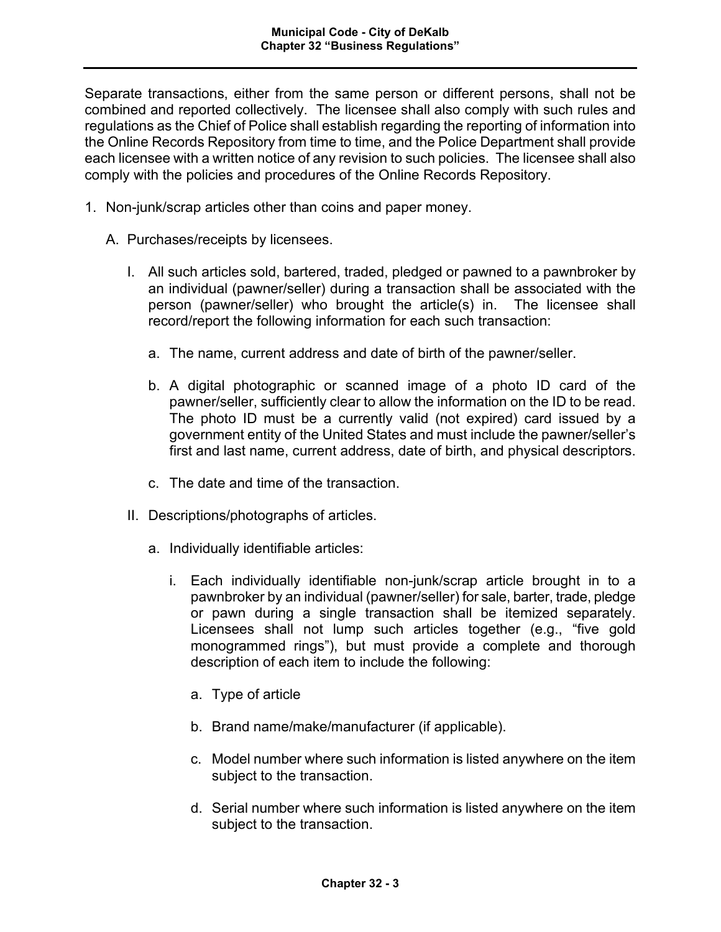Separate transactions, either from the same person or different persons, shall not be combined and reported collectively. The licensee shall also comply with such rules and regulations as the Chief of Police shall establish regarding the reporting of information into the Online Records Repository from time to time, and the Police Department shall provide each licensee with a written notice of any revision to such policies. The licensee shall also comply with the policies and procedures of the Online Records Repository.

- 1. Non-junk/scrap articles other than coins and paper money.
	- A. Purchases/receipts by licensees.
		- I. All such articles sold, bartered, traded, pledged or pawned to a pawnbroker by an individual (pawner/seller) during a transaction shall be associated with the person (pawner/seller) who brought the article(s) in. The licensee shall record/report the following information for each such transaction:
			- a. The name, current address and date of birth of the pawner/seller.
			- b. A digital photographic or scanned image of a photo ID card of the pawner/seller, sufficiently clear to allow the information on the ID to be read. The photo ID must be a currently valid (not expired) card issued by a government entity of the United States and must include the pawner/seller's first and last name, current address, date of birth, and physical descriptors.
			- c. The date and time of the transaction.
		- II. Descriptions/photographs of articles.
			- a. Individually identifiable articles:
				- i. Each individually identifiable non-junk/scrap article brought in to a pawnbroker by an individual (pawner/seller) for sale, barter, trade, pledge or pawn during a single transaction shall be itemized separately. Licensees shall not lump such articles together (e.g., "five gold monogrammed rings"), but must provide a complete and thorough description of each item to include the following:
					- a. Type of article
					- b. Brand name/make/manufacturer (if applicable).
					- c. Model number where such information is listed anywhere on the item subject to the transaction.
					- d. Serial number where such information is listed anywhere on the item subject to the transaction.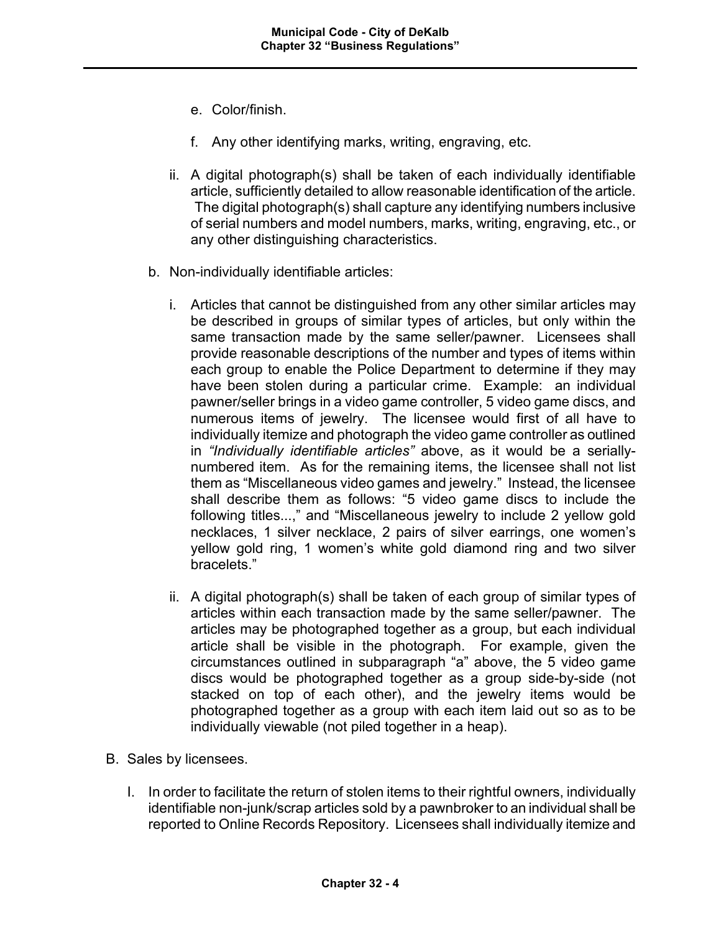- e. Color/finish.
- f. Any other identifying marks, writing, engraving, etc.
- ii. A digital photograph(s) shall be taken of each individually identifiable article, sufficiently detailed to allow reasonable identification of the article. The digital photograph(s) shall capture any identifying numbers inclusive of serial numbers and model numbers, marks, writing, engraving, etc., or any other distinguishing characteristics.
- b. Non-individually identifiable articles:
	- i. Articles that cannot be distinguished from any other similar articles may be described in groups of similar types of articles, but only within the same transaction made by the same seller/pawner. Licensees shall provide reasonable descriptions of the number and types of items within each group to enable the Police Department to determine if they may have been stolen during a particular crime. Example: an individual pawner/seller brings in a video game controller, 5 video game discs, and numerous items of jewelry. The licensee would first of all have to individually itemize and photograph the video game controller as outlined in *"Individually identifiable articles"* above, as it would be a seriallynumbered item. As for the remaining items, the licensee shall not list them as "Miscellaneous video games and jewelry." Instead, the licensee shall describe them as follows: "5 video game discs to include the following titles...," and "Miscellaneous jewelry to include 2 yellow gold necklaces, 1 silver necklace, 2 pairs of silver earrings, one women's yellow gold ring, 1 women's white gold diamond ring and two silver bracelets."
	- ii. A digital photograph(s) shall be taken of each group of similar types of articles within each transaction made by the same seller/pawner. The articles may be photographed together as a group, but each individual article shall be visible in the photograph. For example, given the circumstances outlined in subparagraph "a" above, the 5 video game discs would be photographed together as a group side-by-side (not stacked on top of each other), and the jewelry items would be photographed together as a group with each item laid out so as to be individually viewable (not piled together in a heap).
- B. Sales by licensees.
	- I. In order to facilitate the return of stolen items to their rightful owners, individually identifiable non-junk/scrap articles sold by a pawnbroker to an individual shall be reported to Online Records Repository. Licensees shall individually itemize and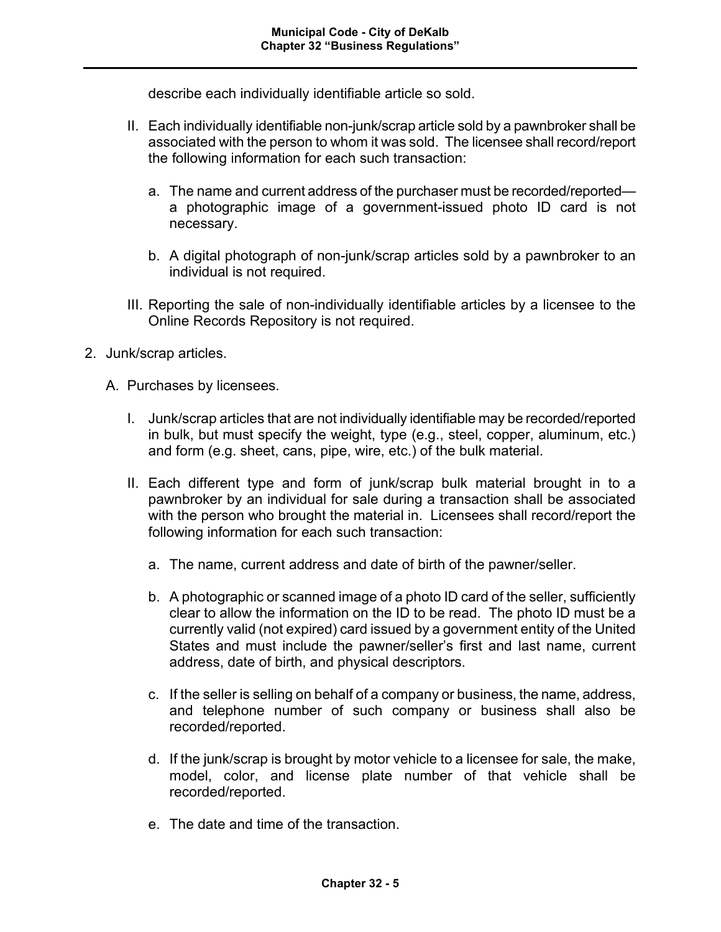describe each individually identifiable article so sold.

- II. Each individually identifiable non-junk/scrap article sold by a pawnbroker shall be associated with the person to whom it was sold. The licensee shall record/report the following information for each such transaction:
	- a. The name and current address of the purchaser must be recorded/reported a photographic image of a government-issued photo ID card is not necessary.
	- b. A digital photograph of non-junk/scrap articles sold by a pawnbroker to an individual is not required.
- III. Reporting the sale of non-individually identifiable articles by a licensee to the Online Records Repository is not required.
- 2. Junk/scrap articles.
	- A. Purchases by licensees.
		- I. Junk/scrap articles that are not individually identifiable may be recorded/reported in bulk, but must specify the weight, type (e.g., steel, copper, aluminum, etc.) and form (e.g. sheet, cans, pipe, wire, etc.) of the bulk material.
		- II. Each different type and form of junk/scrap bulk material brought in to a pawnbroker by an individual for sale during a transaction shall be associated with the person who brought the material in. Licensees shall record/report the following information for each such transaction:
			- a. The name, current address and date of birth of the pawner/seller.
			- b. A photographic or scanned image of a photo ID card of the seller, sufficiently clear to allow the information on the ID to be read. The photo ID must be a currently valid (not expired) card issued by a government entity of the United States and must include the pawner/seller's first and last name, current address, date of birth, and physical descriptors.
			- c. If the seller is selling on behalf of a company or business, the name, address, and telephone number of such company or business shall also be recorded/reported.
			- d. If the junk/scrap is brought by motor vehicle to a licensee for sale, the make, model, color, and license plate number of that vehicle shall be recorded/reported.
			- e. The date and time of the transaction.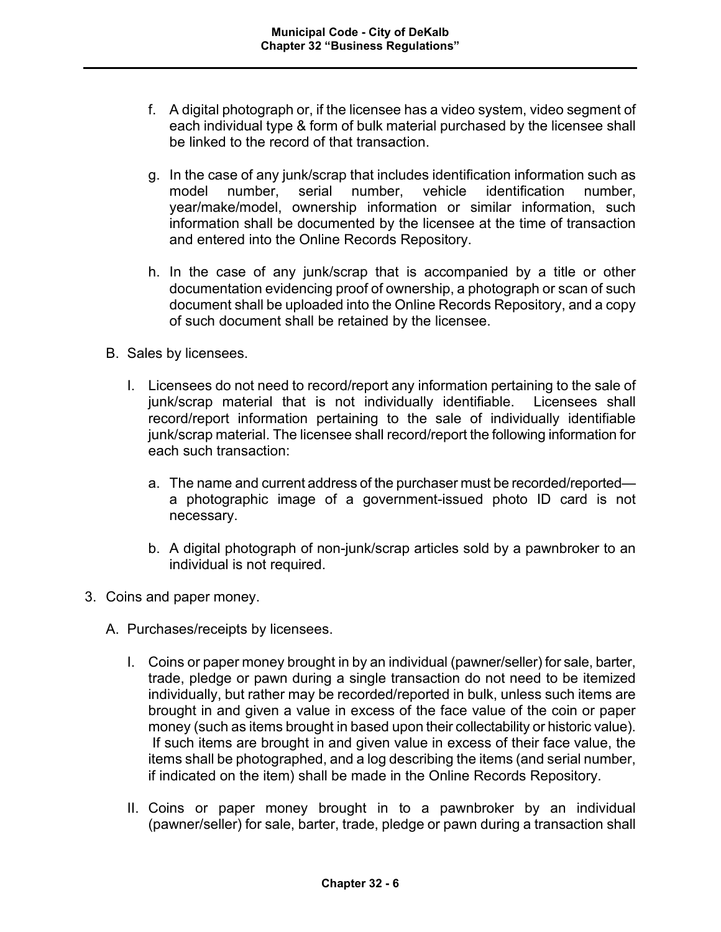- f. A digital photograph or, if the licensee has a video system, video segment of each individual type & form of bulk material purchased by the licensee shall be linked to the record of that transaction.
- g. In the case of any junk/scrap that includes identification information such as model number, serial number, vehicle identification number, year/make/model, ownership information or similar information, such information shall be documented by the licensee at the time of transaction and entered into the Online Records Repository.
- h. In the case of any junk/scrap that is accompanied by a title or other documentation evidencing proof of ownership, a photograph or scan of such document shall be uploaded into the Online Records Repository, and a copy of such document shall be retained by the licensee.
- B. Sales by licensees.
	- I. Licensees do not need to record/report any information pertaining to the sale of junk/scrap material that is not individually identifiable. Licensees shall record/report information pertaining to the sale of individually identifiable junk/scrap material. The licensee shall record/report the following information for each such transaction:
		- a. The name and current address of the purchaser must be recorded/reported a photographic image of a government-issued photo ID card is not necessary.
		- b. A digital photograph of non-junk/scrap articles sold by a pawnbroker to an individual is not required.
- 3. Coins and paper money.
	- A. Purchases/receipts by licensees.
		- I. Coins or paper money brought in by an individual (pawner/seller) for sale, barter, trade, pledge or pawn during a single transaction do not need to be itemized individually, but rather may be recorded/reported in bulk, unless such items are brought in and given a value in excess of the face value of the coin or paper money (such as items brought in based upon their collectability or historic value). If such items are brought in and given value in excess of their face value, the items shall be photographed, and a log describing the items (and serial number, if indicated on the item) shall be made in the Online Records Repository.
		- II. Coins or paper money brought in to a pawnbroker by an individual (pawner/seller) for sale, barter, trade, pledge or pawn during a transaction shall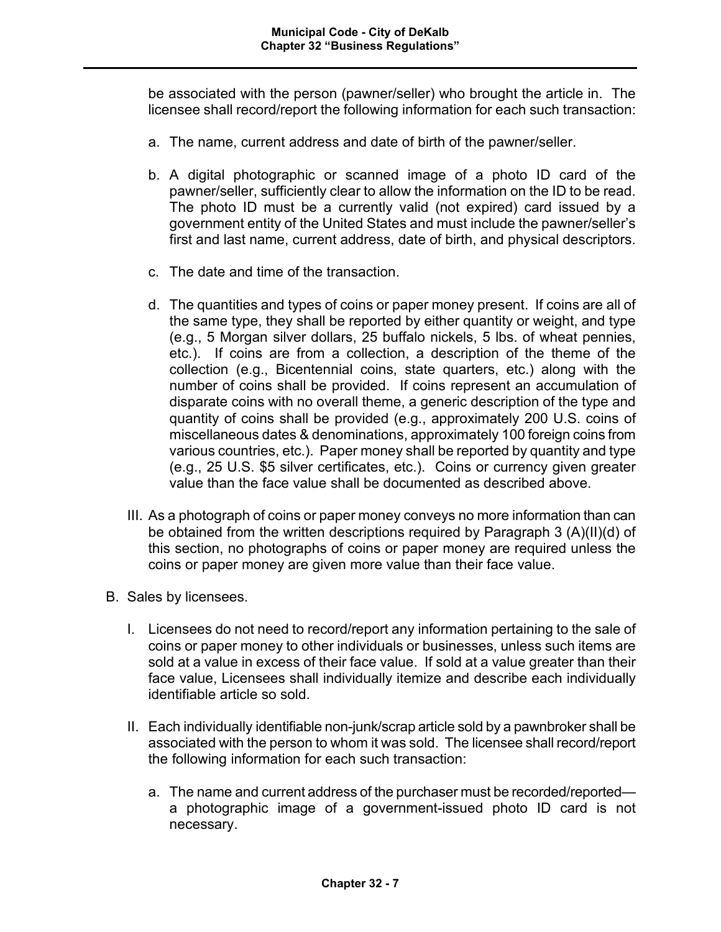be associated with the person (pawner/seller) who brought the article in. The licensee shall record/report the following information for each such transaction:

- a. The name, current address and date of birth of the pawner/seller.
- b. A digital photographic or scanned image of a photo ID card of the pawner/seller, sufficiently clear to allow the information on the ID to be read. The photo ID must be a currently valid (not expired) card issued by a government entity of the United States and must include the pawner/seller's first and last name, current address, date of birth, and physical descriptors.
- c. The date and time of the transaction.
- d. The quantities and types of coins or paper money present. If coins are all of the same type, they shall be reported by either quantity or weight, and type (e.g., 5 Morgan silver dollars, 25 buffalo nickels, 5 lbs. of wheat pennies, etc.). If coins are from a collection, a description of the theme of the collection (e.g., Bicentennial coins, state quarters, etc.) along with the number of coins shall be provided. If coins represent an accumulation of disparate coins with no overall theme, a generic description of the type and quantity of coins shall be provided (e.g., approximately 200 U.S. coins of miscellaneous dates & denominations, approximately 100 foreign coins from various countries, etc.). Paper money shall be reported by quantity and type (e.g., 25 U.S. \$5 silver certificates, etc.). Coins or currency given greater value than the face value shall be documented as described above.
- III. As a photograph of coins or paper money conveys no more information than can be obtained from the written descriptions required by Paragraph 3 (A)(II)(d) of this section, no photographs of coins or paper money are required unless the coins or paper money are given more value than their face value.
- B. Sales by licensees.
	- I. Licensees do not need to record/report any information pertaining to the sale of coins or paper money to other individuals or businesses, unless such items are sold at a value in excess of their face value. If sold at a value greater than their face value, Licensees shall individually itemize and describe each individually identifiable article so sold.
	- II. Each individually identifiable non-junk/scrap article sold by a pawnbroker shall be associated with the person to whom it was sold. The licensee shall record/report the following information for each such transaction:
		- a. The name and current address of the purchaser must be recorded/reported a photographic image of a government-issued photo ID card is not necessary.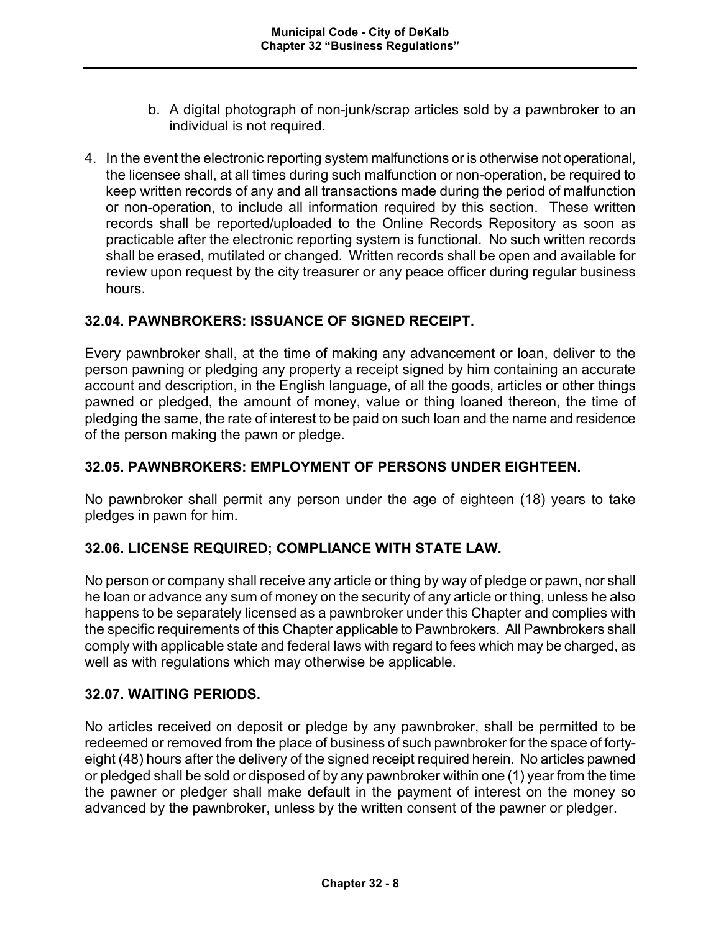- b. A digital photograph of non-junk/scrap articles sold by a pawnbroker to an individual is not required.
- 4. In the event the electronic reporting system malfunctions or is otherwise not operational, the licensee shall, at all times during such malfunction or non-operation, be required to keep written records of any and all transactions made during the period of malfunction or non-operation, to include all information required by this section. These written records shall be reported/uploaded to the Online Records Repository as soon as practicable after the electronic reporting system is functional. No such written records shall be erased, mutilated or changed. Written records shall be open and available for review upon request by the city treasurer or any peace officer during regular business hours.

# **32.04. PAWNBROKERS: ISSUANCE OF SIGNED RECEIPT.**

Every pawnbroker shall, at the time of making any advancement or loan, deliver to the person pawning or pledging any property a receipt signed by him containing an accurate account and description, in the English language, of all the goods, articles or other things pawned or pledged, the amount of money, value or thing loaned thereon, the time of pledging the same, the rate of interest to be paid on such loan and the name and residence of the person making the pawn or pledge.

### **32.05. PAWNBROKERS: EMPLOYMENT OF PERSONS UNDER EIGHTEEN.**

No pawnbroker shall permit any person under the age of eighteen (18) years to take pledges in pawn for him.

# **32.06. LICENSE REQUIRED; COMPLIANCE WITH STATE LAW.**

No person or company shall receive any article or thing by way of pledge or pawn, nor shall he loan or advance any sum of money on the security of any article or thing, unless he also happens to be separately licensed as a pawnbroker under this Chapter and complies with the specific requirements of this Chapter applicable to Pawnbrokers. All Pawnbrokers shall comply with applicable state and federal laws with regard to fees which may be charged, as well as with regulations which may otherwise be applicable.

### **32.07. WAITING PERIODS.**

No articles received on deposit or pledge by any pawnbroker, shall be permitted to be redeemed or removed from the place of business of such pawnbroker for the space of fortyeight (48) hours after the delivery of the signed receipt required herein. No articles pawned or pledged shall be sold or disposed of by any pawnbroker within one (1) year from the time the pawner or pledger shall make default in the payment of interest on the money so advanced by the pawnbroker, unless by the written consent of the pawner or pledger.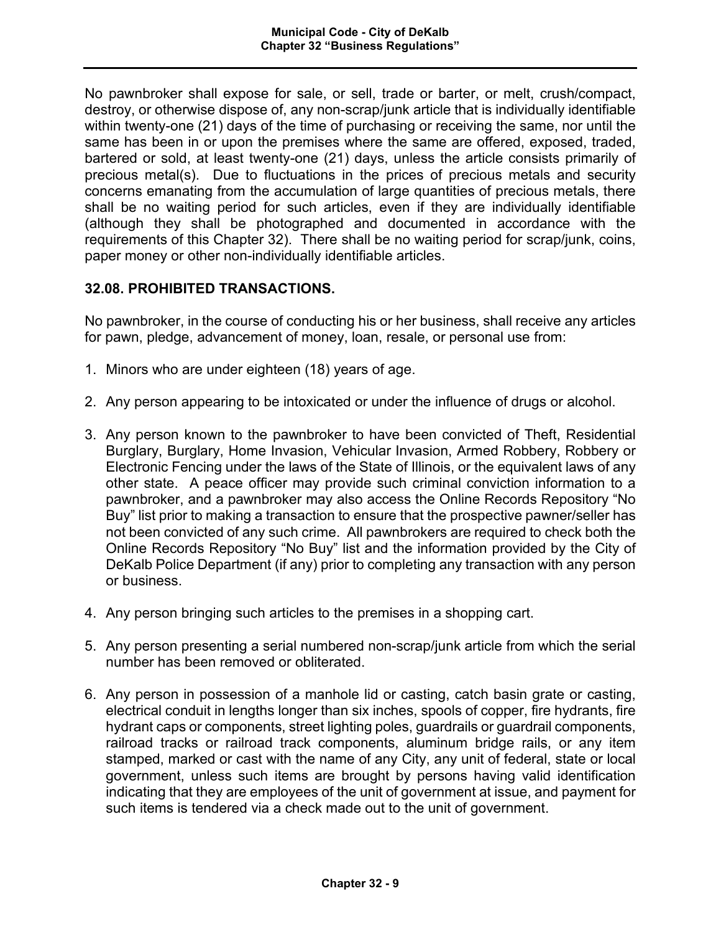No pawnbroker shall expose for sale, or sell, trade or barter, or melt, crush/compact, destroy, or otherwise dispose of, any non-scrap/junk article that is individually identifiable within twenty-one (21) days of the time of purchasing or receiving the same, nor until the same has been in or upon the premises where the same are offered, exposed, traded, bartered or sold, at least twenty-one (21) days, unless the article consists primarily of precious metal(s). Due to fluctuations in the prices of precious metals and security concerns emanating from the accumulation of large quantities of precious metals, there shall be no waiting period for such articles, even if they are individually identifiable (although they shall be photographed and documented in accordance with the requirements of this Chapter 32). There shall be no waiting period for scrap/junk, coins, paper money or other non-individually identifiable articles.

# **32.08. PROHIBITED TRANSACTIONS.**

No pawnbroker, in the course of conducting his or her business, shall receive any articles for pawn, pledge, advancement of money, loan, resale, or personal use from:

- 1. Minors who are under eighteen (18) years of age.
- 2. Any person appearing to be intoxicated or under the influence of drugs or alcohol.
- 3. Any person known to the pawnbroker to have been convicted of Theft, Residential Burglary, Burglary, Home Invasion, Vehicular Invasion, Armed Robbery, Robbery or Electronic Fencing under the laws of the State of Illinois, or the equivalent laws of any other state. A peace officer may provide such criminal conviction information to a pawnbroker, and a pawnbroker may also access the Online Records Repository "No Buy" list prior to making a transaction to ensure that the prospective pawner/seller has not been convicted of any such crime. All pawnbrokers are required to check both the Online Records Repository "No Buy" list and the information provided by the City of DeKalb Police Department (if any) prior to completing any transaction with any person or business.
- 4. Any person bringing such articles to the premises in a shopping cart.
- 5. Any person presenting a serial numbered non-scrap/junk article from which the serial number has been removed or obliterated.
- 6. Any person in possession of a manhole lid or casting, catch basin grate or casting, electrical conduit in lengths longer than six inches, spools of copper, fire hydrants, fire hydrant caps or components, street lighting poles, guardrails or guardrail components, railroad tracks or railroad track components, aluminum bridge rails, or any item stamped, marked or cast with the name of any City, any unit of federal, state or local government, unless such items are brought by persons having valid identification indicating that they are employees of the unit of government at issue, and payment for such items is tendered via a check made out to the unit of government.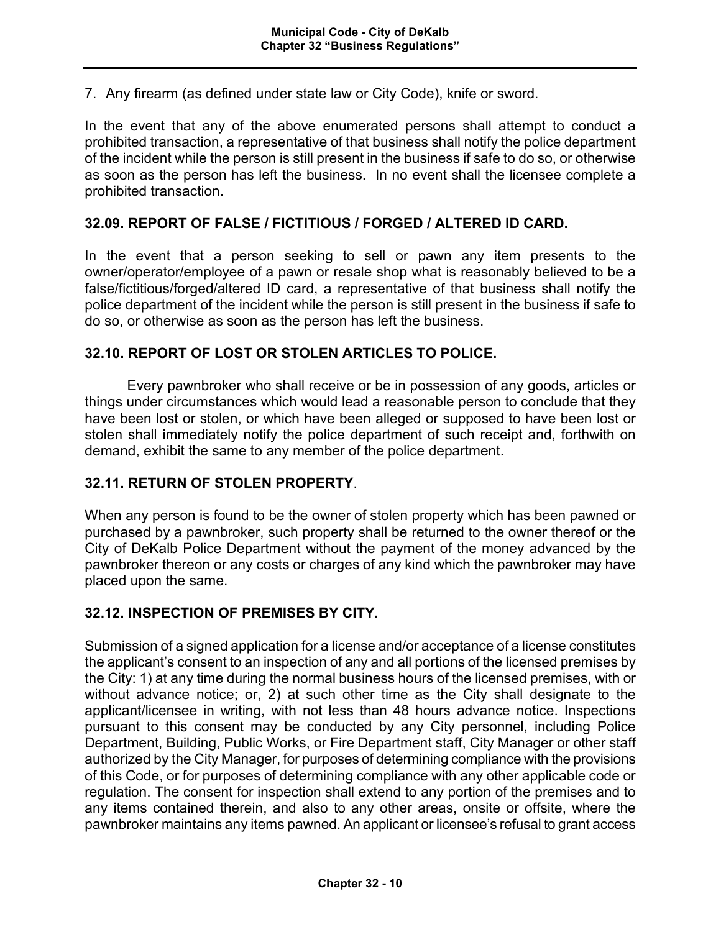7. Any firearm (as defined under state law or City Code), knife or sword.

In the event that any of the above enumerated persons shall attempt to conduct a prohibited transaction, a representative of that business shall notify the police department of the incident while the person is still present in the business if safe to do so, or otherwise as soon as the person has left the business. In no event shall the licensee complete a prohibited transaction.

#### **32.09. REPORT OF FALSE / FICTITIOUS / FORGED / ALTERED ID CARD.**

In the event that a person seeking to sell or pawn any item presents to the owner/operator/employee of a pawn or resale shop what is reasonably believed to be a false/fictitious/forged/altered ID card, a representative of that business shall notify the police department of the incident while the person is still present in the business if safe to do so, or otherwise as soon as the person has left the business.

#### **32.10. REPORT OF LOST OR STOLEN ARTICLES TO POLICE.**

Every pawnbroker who shall receive or be in possession of any goods, articles or things under circumstances which would lead a reasonable person to conclude that they have been lost or stolen, or which have been alleged or supposed to have been lost or stolen shall immediately notify the police department of such receipt and, forthwith on demand, exhibit the same to any member of the police department.

### **32.11. RETURN OF STOLEN PROPERTY**.

When any person is found to be the owner of stolen property which has been pawned or purchased by a pawnbroker, such property shall be returned to the owner thereof or the City of DeKalb Police Department without the payment of the money advanced by the pawnbroker thereon or any costs or charges of any kind which the pawnbroker may have placed upon the same.

#### **32.12. INSPECTION OF PREMISES BY CITY.**

Submission of a signed application for a license and/or acceptance of a license constitutes the applicant's consent to an inspection of any and all portions of the licensed premises by the City: 1) at any time during the normal business hours of the licensed premises, with or without advance notice; or, 2) at such other time as the City shall designate to the applicant/licensee in writing, with not less than 48 hours advance notice. Inspections pursuant to this consent may be conducted by any City personnel, including Police Department, Building, Public Works, or Fire Department staff, City Manager or other staff authorized by the City Manager, for purposes of determining compliance with the provisions of this Code, or for purposes of determining compliance with any other applicable code or regulation. The consent for inspection shall extend to any portion of the premises and to any items contained therein, and also to any other areas, onsite or offsite, where the pawnbroker maintains any items pawned. An applicant or licensee's refusal to grant access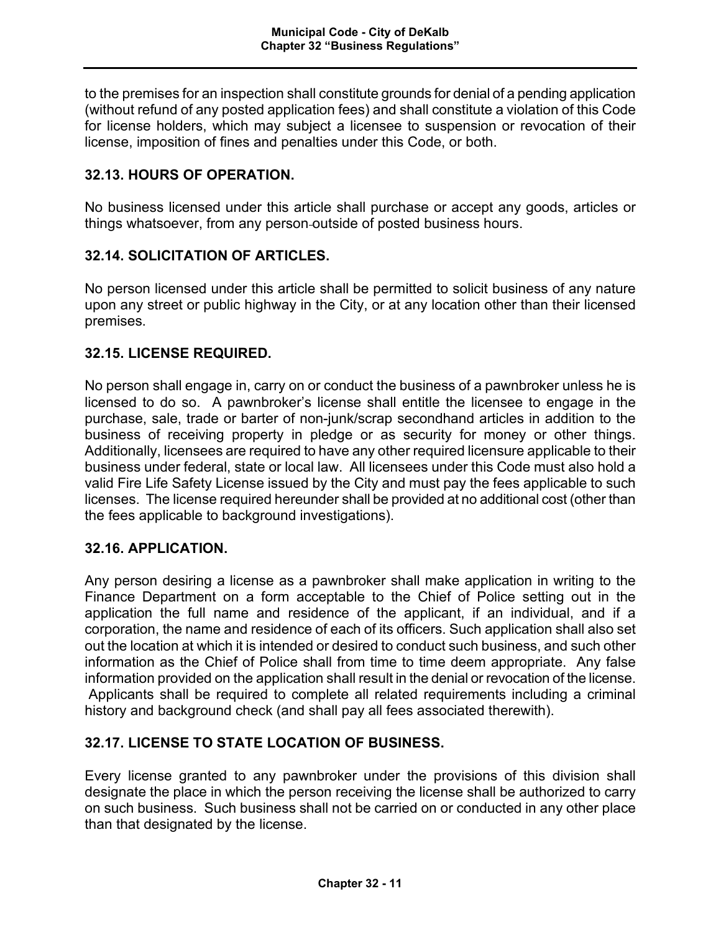to the premises for an inspection shall constitute grounds for denial of a pending application (without refund of any posted application fees) and shall constitute a violation of this Code for license holders, which may subject a licensee to suspension or revocation of their license, imposition of fines and penalties under this Code, or both.

# **32.13. HOURS OF OPERATION.**

No business licensed under this article shall purchase or accept any goods, articles or things whatsoever, from any person outside of posted business hours.

# **32.14. SOLICITATION OF ARTICLES.**

No person licensed under this article shall be permitted to solicit business of any nature upon any street or public highway in the City, or at any location other than their licensed premises.

## **32.15. LICENSE REQUIRED.**

No person shall engage in, carry on or conduct the business of a pawnbroker unless he is licensed to do so. A pawnbroker's license shall entitle the licensee to engage in the purchase, sale, trade or barter of non-junk/scrap secondhand articles in addition to the business of receiving property in pledge or as security for money or other things. Additionally, licensees are required to have any other required licensure applicable to their business under federal, state or local law. All licensees under this Code must also hold a valid Fire Life Safety License issued by the City and must pay the fees applicable to such licenses. The license required hereunder shall be provided at no additional cost (other than the fees applicable to background investigations).

# **32.16. APPLICATION.**

Any person desiring a license as a pawnbroker shall make application in writing to the Finance Department on a form acceptable to the Chief of Police setting out in the application the full name and residence of the applicant, if an individual, and if a corporation, the name and residence of each of its officers. Such application shall also set out the location at which it is intended or desired to conduct such business, and such other information as the Chief of Police shall from time to time deem appropriate. Any false information provided on the application shall result in the denial or revocation of the license. Applicants shall be required to complete all related requirements including a criminal history and background check (and shall pay all fees associated therewith).

# **32.17. LICENSE TO STATE LOCATION OF BUSINESS.**

Every license granted to any pawnbroker under the provisions of this division shall designate the place in which the person receiving the license shall be authorized to carry on such business. Such business shall not be carried on or conducted in any other place than that designated by the license.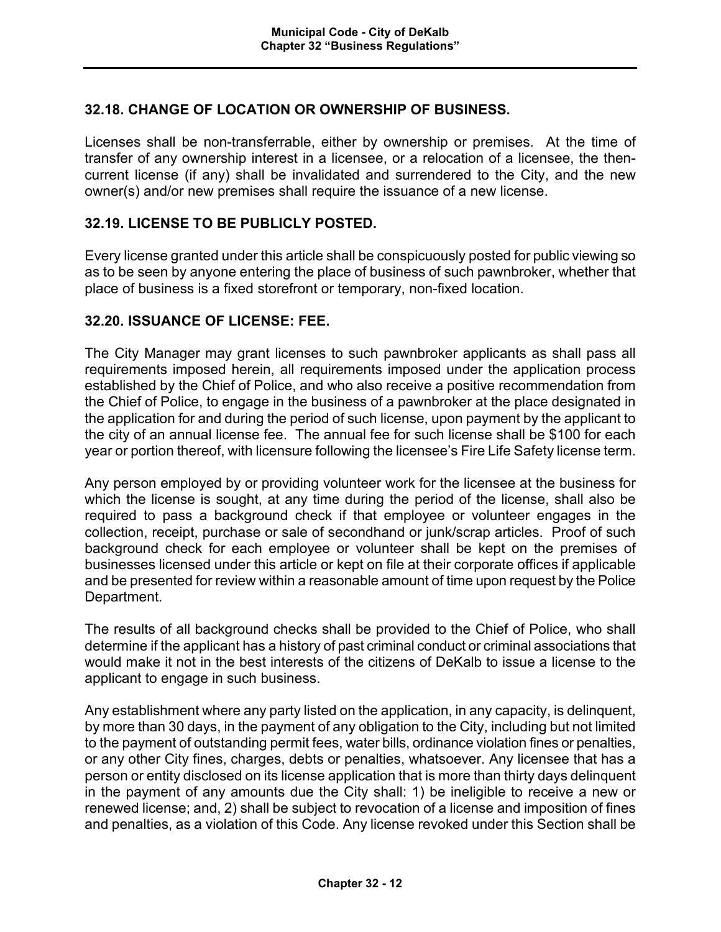## **32.18. CHANGE OF LOCATION OR OWNERSHIP OF BUSINESS.**

Licenses shall be non-transferrable, either by ownership or premises. At the time of transfer of any ownership interest in a licensee, or a relocation of a licensee, the thencurrent license (if any) shall be invalidated and surrendered to the City, and the new owner(s) and/or new premises shall require the issuance of a new license.

### **32.19. LICENSE TO BE PUBLICLY POSTED.**

Every license granted under this article shall be conspicuously posted for public viewing so as to be seen by anyone entering the place of business of such pawnbroker, whether that place of business is a fixed storefront or temporary, non-fixed location.

### **32.20. ISSUANCE OF LICENSE: FEE.**

The City Manager may grant licenses to such pawnbroker applicants as shall pass all requirements imposed herein, all requirements imposed under the application process established by the Chief of Police, and who also receive a positive recommendation from the Chief of Police, to engage in the business of a pawnbroker at the place designated in the application for and during the period of such license, upon payment by the applicant to the city of an annual license fee. The annual fee for such license shall be \$100 for each year or portion thereof, with licensure following the licensee's Fire Life Safety license term.

Any person employed by or providing volunteer work for the licensee at the business for which the license is sought, at any time during the period of the license, shall also be required to pass a background check if that employee or volunteer engages in the collection, receipt, purchase or sale of secondhand or junk/scrap articles. Proof of such background check for each employee or volunteer shall be kept on the premises of businesses licensed under this article or kept on file at their corporate offices if applicable and be presented for review within a reasonable amount of time upon request by the Police Department.

The results of all background checks shall be provided to the Chief of Police, who shall determine if the applicant has a history of past criminal conduct or criminal associations that would make it not in the best interests of the citizens of DeKalb to issue a license to the applicant to engage in such business.

Any establishment where any party listed on the application, in any capacity, is delinquent, by more than 30 days, in the payment of any obligation to the City, including but not limited to the payment of outstanding permit fees, water bills, ordinance violation fines or penalties, or any other City fines, charges, debts or penalties, whatsoever. Any licensee that has a person or entity disclosed on its license application that is more than thirty days delinquent in the payment of any amounts due the City shall: 1) be ineligible to receive a new or renewed license; and, 2) shall be subject to revocation of a license and imposition of fines and penalties, as a violation of this Code. Any license revoked under this Section shall be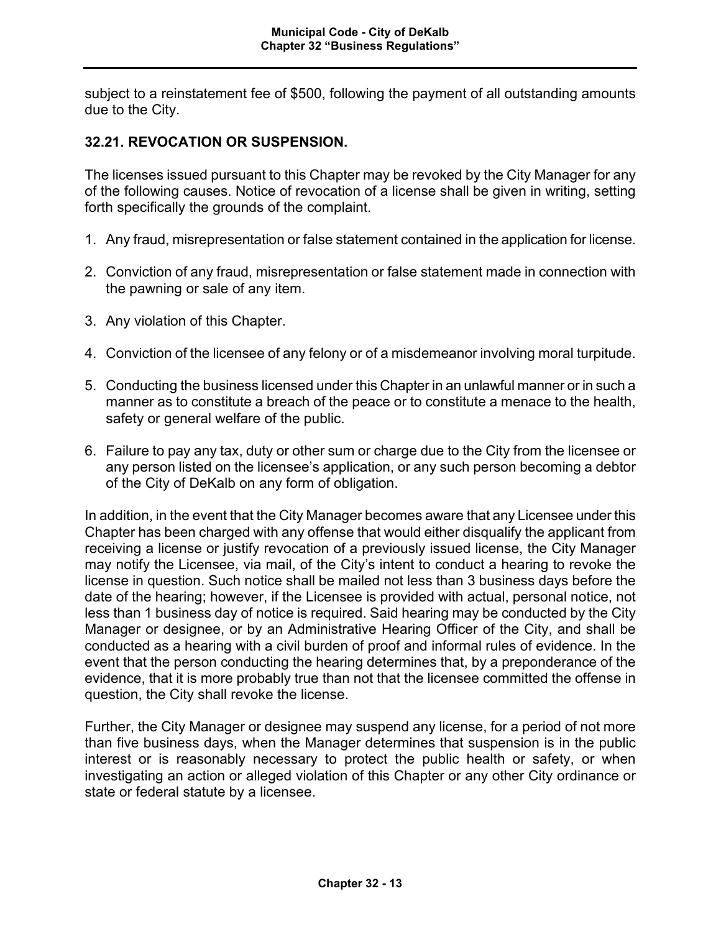subject to a reinstatement fee of \$500, following the payment of all outstanding amounts due to the City.

## **32.21. REVOCATION OR SUSPENSION.**

The licenses issued pursuant to this Chapter may be revoked by the City Manager for any of the following causes. Notice of revocation of a license shall be given in writing, setting forth specifically the grounds of the complaint.

- 1. Any fraud, misrepresentation or false statement contained in the application for license.
- 2. Conviction of any fraud, misrepresentation or false statement made in connection with the pawning or sale of any item.
- 3. Any violation of this Chapter.
- 4. Conviction of the licensee of any felony or of a misdemeanor involving moral turpitude.
- 5. Conducting the business licensed under this Chapter in an unlawful manner or in such a manner as to constitute a breach of the peace or to constitute a menace to the health, safety or general welfare of the public.
- 6. Failure to pay any tax, duty or other sum or charge due to the City from the licensee or any person listed on the licensee's application, or any such person becoming a debtor of the City of DeKalb on any form of obligation.

In addition, in the event that the City Manager becomes aware that any Licensee under this Chapter has been charged with any offense that would either disqualify the applicant from receiving a license or justify revocation of a previously issued license, the City Manager may notify the Licensee, via mail, of the City's intent to conduct a hearing to revoke the license in question. Such notice shall be mailed not less than 3 business days before the date of the hearing; however, if the Licensee is provided with actual, personal notice, not less than 1 business day of notice is required. Said hearing may be conducted by the City Manager or designee, or by an Administrative Hearing Officer of the City, and shall be conducted as a hearing with a civil burden of proof and informal rules of evidence. In the event that the person conducting the hearing determines that, by a preponderance of the evidence, that it is more probably true than not that the licensee committed the offense in question, the City shall revoke the license.

Further, the City Manager or designee may suspend any license, for a period of not more than five business days, when the Manager determines that suspension is in the public interest or is reasonably necessary to protect the public health or safety, or when investigating an action or alleged violation of this Chapter or any other City ordinance or state or federal statute by a licensee.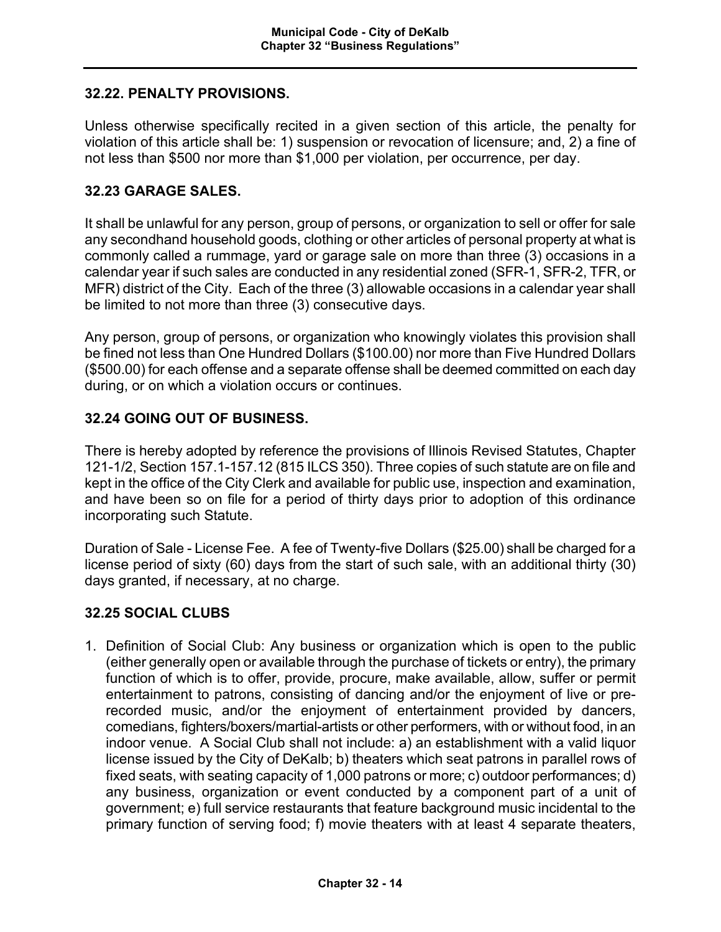## **32.22. PENALTY PROVISIONS.**

Unless otherwise specifically recited in a given section of this article, the penalty for violation of this article shall be: 1) suspension or revocation of licensure; and, 2) a fine of not less than \$500 nor more than \$1,000 per violation, per occurrence, per day.

## **32.23 GARAGE SALES.**

It shall be unlawful for any person, group of persons, or organization to sell or offer for sale any secondhand household goods, clothing or other articles of personal property at what is commonly called a rummage, yard or garage sale on more than three (3) occasions in a calendar year if such sales are conducted in any residential zoned (SFR-1, SFR-2, TFR, or MFR) district of the City. Each of the three (3) allowable occasions in a calendar year shall be limited to not more than three (3) consecutive days.

Any person, group of persons, or organization who knowingly violates this provision shall be fined not less than One Hundred Dollars (\$100.00) nor more than Five Hundred Dollars (\$500.00) for each offense and a separate offense shall be deemed committed on each day during, or on which a violation occurs or continues.

## **32.24 GOING OUT OF BUSINESS.**

There is hereby adopted by reference the provisions of Illinois Revised Statutes, Chapter 121-1/2, Section 157.1-157.12 (815 ILCS 350). Three copies of such statute are on file and kept in the office of the City Clerk and available for public use, inspection and examination, and have been so on file for a period of thirty days prior to adoption of this ordinance incorporating such Statute.

Duration of Sale - License Fee. A fee of Twenty-five Dollars (\$25.00) shall be charged for a license period of sixty (60) days from the start of such sale, with an additional thirty (30) days granted, if necessary, at no charge.

### **32.25 SOCIAL CLUBS**

1. Definition of Social Club: Any business or organization which is open to the public (either generally open or available through the purchase of tickets or entry), the primary function of which is to offer, provide, procure, make available, allow, suffer or permit entertainment to patrons, consisting of dancing and/or the enjoyment of live or prerecorded music, and/or the enjoyment of entertainment provided by dancers, comedians, fighters/boxers/martial-artists or other performers, with or without food, in an indoor venue. A Social Club shall not include: a) an establishment with a valid liquor license issued by the City of DeKalb; b) theaters which seat patrons in parallel rows of fixed seats, with seating capacity of 1,000 patrons or more; c) outdoor performances; d) any business, organization or event conducted by a component part of a unit of government; e) full service restaurants that feature background music incidental to the primary function of serving food; f) movie theaters with at least 4 separate theaters,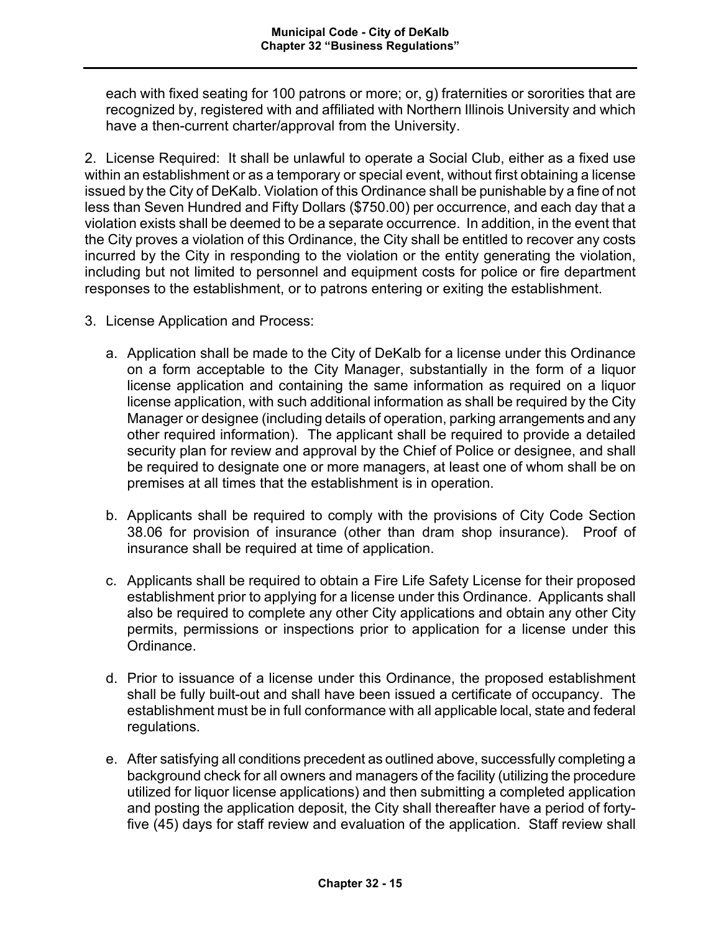each with fixed seating for 100 patrons or more; or, g) fraternities or sororities that are recognized by, registered with and affiliated with Northern Illinois University and which have a then-current charter/approval from the University.

2. License Required: It shall be unlawful to operate a Social Club, either as a fixed use within an establishment or as a temporary or special event, without first obtaining a license issued by the City of DeKalb. Violation of this Ordinance shall be punishable by a fine of not less than Seven Hundred and Fifty Dollars (\$750.00) per occurrence, and each day that a violation exists shall be deemed to be a separate occurrence. In addition, in the event that the City proves a violation of this Ordinance, the City shall be entitled to recover any costs incurred by the City in responding to the violation or the entity generating the violation, including but not limited to personnel and equipment costs for police or fire department responses to the establishment, or to patrons entering or exiting the establishment.

- 3. License Application and Process:
	- a. Application shall be made to the City of DeKalb for a license under this Ordinance on a form acceptable to the City Manager, substantially in the form of a liquor license application and containing the same information as required on a liquor license application, with such additional information as shall be required by the City Manager or designee (including details of operation, parking arrangements and any other required information). The applicant shall be required to provide a detailed security plan for review and approval by the Chief of Police or designee, and shall be required to designate one or more managers, at least one of whom shall be on premises at all times that the establishment is in operation.
	- b. Applicants shall be required to comply with the provisions of City Code Section 38.06 for provision of insurance (other than dram shop insurance). Proof of insurance shall be required at time of application.
	- c. Applicants shall be required to obtain a Fire Life Safety License for their proposed establishment prior to applying for a license under this Ordinance. Applicants shall also be required to complete any other City applications and obtain any other City permits, permissions or inspections prior to application for a license under this Ordinance.
	- d. Prior to issuance of a license under this Ordinance, the proposed establishment shall be fully built-out and shall have been issued a certificate of occupancy. The establishment must be in full conformance with all applicable local, state and federal regulations.
	- e. After satisfying all conditions precedent as outlined above, successfully completing a background check for all owners and managers of the facility (utilizing the procedure utilized for liquor license applications) and then submitting a completed application and posting the application deposit, the City shall thereafter have a period of fortyfive (45) days for staff review and evaluation of the application. Staff review shall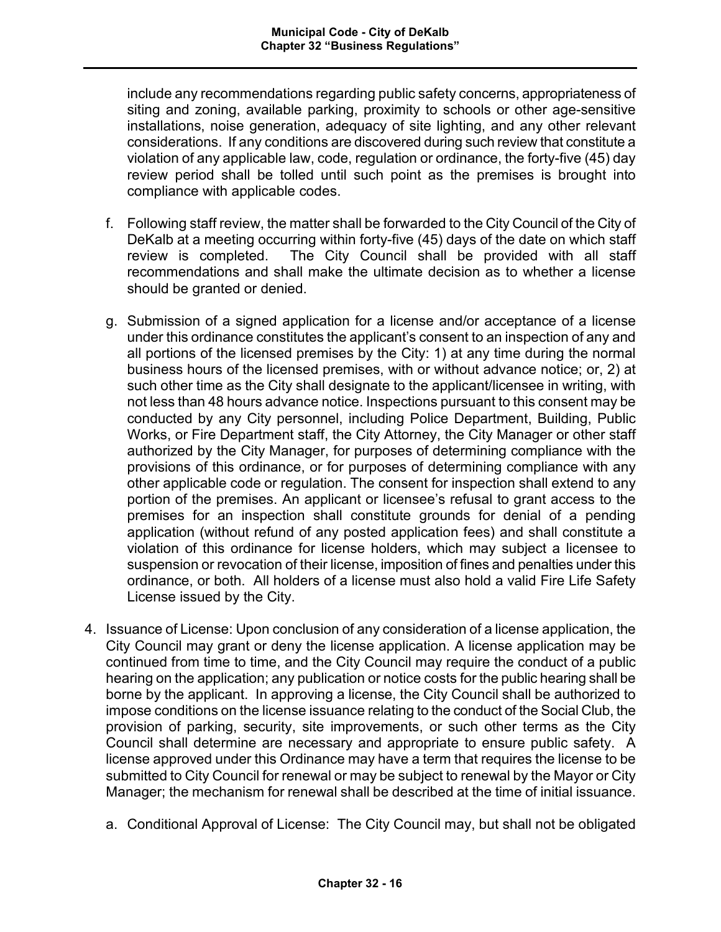include any recommendations regarding public safety concerns, appropriateness of siting and zoning, available parking, proximity to schools or other age-sensitive installations, noise generation, adequacy of site lighting, and any other relevant considerations. If any conditions are discovered during such review that constitute a violation of any applicable law, code, regulation or ordinance, the forty-five (45) day review period shall be tolled until such point as the premises is brought into compliance with applicable codes.

- f. Following staff review, the matter shall be forwarded to the City Council of the City of DeKalb at a meeting occurring within forty-five (45) days of the date on which staff review is completed. The City Council shall be provided with all staff recommendations and shall make the ultimate decision as to whether a license should be granted or denied.
- g. Submission of a signed application for a license and/or acceptance of a license under this ordinance constitutes the applicant's consent to an inspection of any and all portions of the licensed premises by the City: 1) at any time during the normal business hours of the licensed premises, with or without advance notice; or, 2) at such other time as the City shall designate to the applicant/licensee in writing, with not less than 48 hours advance notice. Inspections pursuant to this consent may be conducted by any City personnel, including Police Department, Building, Public Works, or Fire Department staff, the City Attorney, the City Manager or other staff authorized by the City Manager, for purposes of determining compliance with the provisions of this ordinance, or for purposes of determining compliance with any other applicable code or regulation. The consent for inspection shall extend to any portion of the premises. An applicant or licensee's refusal to grant access to the premises for an inspection shall constitute grounds for denial of a pending application (without refund of any posted application fees) and shall constitute a violation of this ordinance for license holders, which may subject a licensee to suspension or revocation of their license, imposition of fines and penalties under this ordinance, or both. All holders of a license must also hold a valid Fire Life Safety License issued by the City.
- 4. Issuance of License: Upon conclusion of any consideration of a license application, the City Council may grant or deny the license application. A license application may be continued from time to time, and the City Council may require the conduct of a public hearing on the application; any publication or notice costs for the public hearing shall be borne by the applicant. In approving a license, the City Council shall be authorized to impose conditions on the license issuance relating to the conduct of the Social Club, the provision of parking, security, site improvements, or such other terms as the City Council shall determine are necessary and appropriate to ensure public safety. A license approved under this Ordinance may have a term that requires the license to be submitted to City Council for renewal or may be subject to renewal by the Mayor or City Manager; the mechanism for renewal shall be described at the time of initial issuance.
	- a. Conditional Approval of License: The City Council may, but shall not be obligated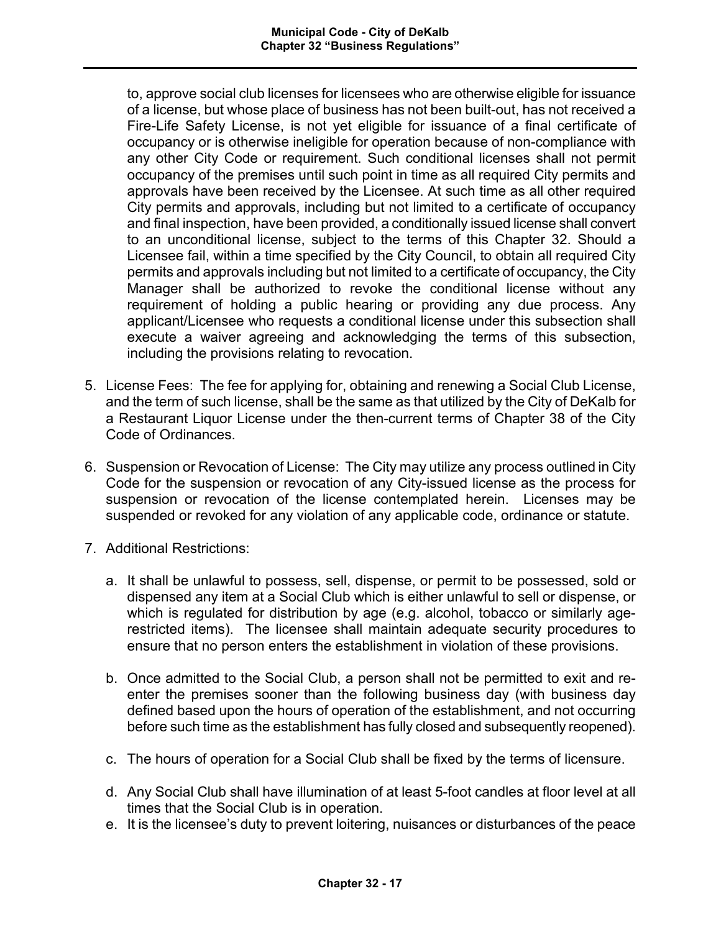to, approve social club licenses for licensees who are otherwise eligible for issuance of a license, but whose place of business has not been built-out, has not received a Fire-Life Safety License, is not yet eligible for issuance of a final certificate of occupancy or is otherwise ineligible for operation because of non-compliance with any other City Code or requirement. Such conditional licenses shall not permit occupancy of the premises until such point in time as all required City permits and approvals have been received by the Licensee. At such time as all other required City permits and approvals, including but not limited to a certificate of occupancy and final inspection, have been provided, a conditionally issued license shall convert to an unconditional license, subject to the terms of this Chapter 32. Should a Licensee fail, within a time specified by the City Council, to obtain all required City permits and approvals including but not limited to a certificate of occupancy, the City Manager shall be authorized to revoke the conditional license without any requirement of holding a public hearing or providing any due process. Any applicant/Licensee who requests a conditional license under this subsection shall execute a waiver agreeing and acknowledging the terms of this subsection, including the provisions relating to revocation.

- 5. License Fees: The fee for applying for, obtaining and renewing a Social Club License, and the term of such license, shall be the same as that utilized by the City of DeKalb for a Restaurant Liquor License under the then-current terms of Chapter 38 of the City Code of Ordinances.
- 6. Suspension or Revocation of License: The City may utilize any process outlined in City Code for the suspension or revocation of any City-issued license as the process for suspension or revocation of the license contemplated herein. Licenses may be suspended or revoked for any violation of any applicable code, ordinance or statute.
- 7. Additional Restrictions:
	- a. It shall be unlawful to possess, sell, dispense, or permit to be possessed, sold or dispensed any item at a Social Club which is either unlawful to sell or dispense, or which is regulated for distribution by age (e.g. alcohol, tobacco or similarly agerestricted items). The licensee shall maintain adequate security procedures to ensure that no person enters the establishment in violation of these provisions.
	- b. Once admitted to the Social Club, a person shall not be permitted to exit and reenter the premises sooner than the following business day (with business day defined based upon the hours of operation of the establishment, and not occurring before such time as the establishment has fully closed and subsequently reopened).
	- c. The hours of operation for a Social Club shall be fixed by the terms of licensure.
	- d. Any Social Club shall have illumination of at least 5-foot candles at floor level at all times that the Social Club is in operation.
	- e. It is the licensee's duty to prevent loitering, nuisances or disturbances of the peace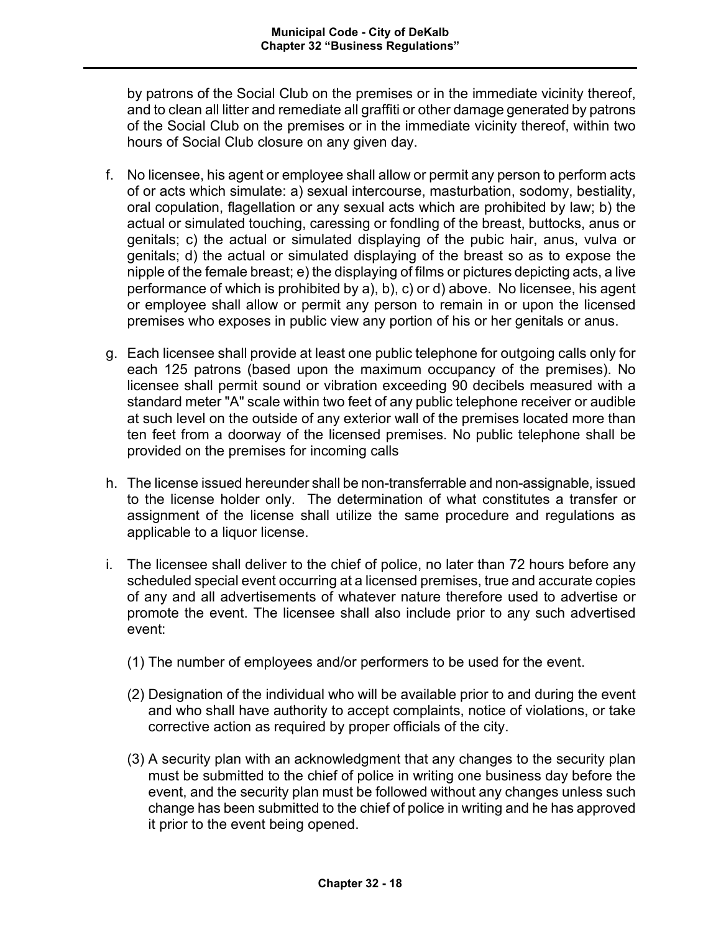by patrons of the Social Club on the premises or in the immediate vicinity thereof, and to clean all litter and remediate all graffiti or other damage generated by patrons of the Social Club on the premises or in the immediate vicinity thereof, within two hours of Social Club closure on any given day.

- f. No licensee, his agent or employee shall allow or permit any person to perform acts of or acts which simulate: a) sexual intercourse, masturbation, sodomy, bestiality, oral copulation, flagellation or any sexual acts which are prohibited by law; b) the actual or simulated touching, caressing or fondling of the breast, buttocks, anus or genitals; c) the actual or simulated displaying of the pubic hair, anus, vulva or genitals; d) the actual or simulated displaying of the breast so as to expose the nipple of the female breast; e) the displaying of films or pictures depicting acts, a live performance of which is prohibited by a), b), c) or d) above. No licensee, his agent or employee shall allow or permit any person to remain in or upon the licensed premises who exposes in public view any portion of his or her genitals or anus.
- g. Each licensee shall provide at least one public telephone for outgoing calls only for each 125 patrons (based upon the maximum occupancy of the premises). No licensee shall permit sound or vibration exceeding 90 decibels measured with a standard meter "A" scale within two feet of any public telephone receiver or audible at such level on the outside of any exterior wall of the premises located more than ten feet from a doorway of the licensed premises. No public telephone shall be provided on the premises for incoming calls
- h. The license issued hereunder shall be non-transferrable and non-assignable, issued to the license holder only. The determination of what constitutes a transfer or assignment of the license shall utilize the same procedure and regulations as applicable to a liquor license.
- i. The licensee shall deliver to the chief of police, no later than 72 hours before any scheduled special event occurring at a licensed premises, true and accurate copies of any and all advertisements of whatever nature therefore used to advertise or promote the event. The licensee shall also include prior to any such advertised event:
	- (1) The number of employees and/or performers to be used for the event.
	- (2) Designation of the individual who will be available prior to and during the event and who shall have authority to accept complaints, notice of violations, or take corrective action as required by proper officials of the city.
	- (3) A security plan with an acknowledgment that any changes to the security plan must be submitted to the chief of police in writing one business day before the event, and the security plan must be followed without any changes unless such change has been submitted to the chief of police in writing and he has approved it prior to the event being opened.